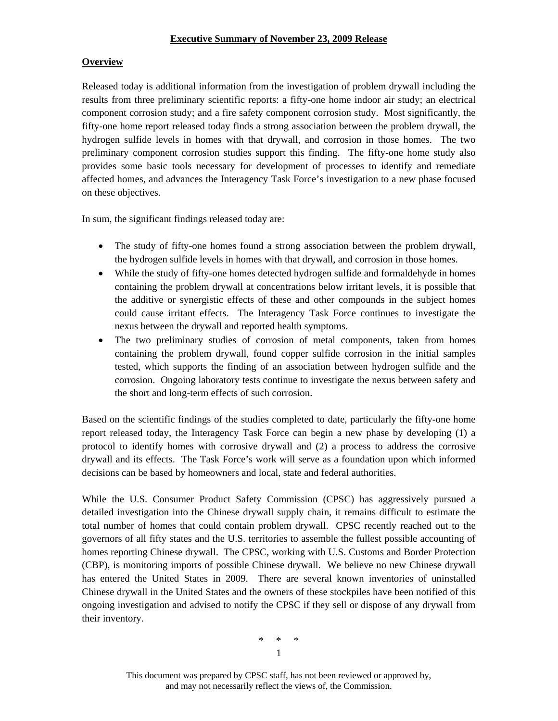## **Overview**

Released today is additional information from the investigation of problem drywall including the results from three preliminary scientific reports: a fifty-one home indoor air study; an electrical component corrosion study; and a fire safety component corrosion study. Most significantly, the fifty-one home report released today finds a strong association between the problem drywall, the hydrogen sulfide levels in homes with that drywall, and corrosion in those homes. The two preliminary component corrosion studies support this finding. The fifty-one home study also provides some basic tools necessary for development of processes to identify and remediate affected homes, and advances the Interagency Task Force's investigation to a new phase focused on these objectives.

In sum, the significant findings released today are:

- The study of fifty-one homes found a strong association between the problem drywall, the hydrogen sulfide levels in homes with that drywall, and corrosion in those homes.
- While the study of fifty-one homes detected hydrogen sulfide and formaldehyde in homes containing the problem drywall at concentrations below irritant levels, it is possible that the additive or synergistic effects of these and other compounds in the subject homes could cause irritant effects. The Interagency Task Force continues to investigate the nexus between the drywall and reported health symptoms.
- The two preliminary studies of corrosion of metal components, taken from homes containing the problem drywall, found copper sulfide corrosion in the initial samples tested, which supports the finding of an association between hydrogen sulfide and the corrosion. Ongoing laboratory tests continue to investigate the nexus between safety and the short and long-term effects of such corrosion.

Based on the scientific findings of the studies completed to date, particularly the fifty-one home report released today, the Interagency Task Force can begin a new phase by developing (1) a protocol to identify homes with corrosive drywall and (2) a process to address the corrosive drywall and its effects. The Task Force's work will serve as a foundation upon which informed decisions can be based by homeowners and local, state and federal authorities.

While the U.S. Consumer Product Safety Commission (CPSC) has aggressively pursued a detailed investigation into the Chinese drywall supply chain, it remains difficult to estimate the total number of homes that could contain problem drywall. CPSC recently reached out to the governors of all fifty states and the U.S. territories to assemble the fullest possible accounting of homes reporting Chinese drywall. The CPSC, working with U.S. Customs and Border Protection (CBP), is monitoring imports of possible Chinese drywall. We believe no new Chinese drywall has entered the United States in 2009. There are several known inventories of uninstalled Chinese drywall in the United States and the owners of these stockpiles have been notified of this ongoing investigation and advised to notify the CPSC if they sell or dispose of any drywall from their inventory.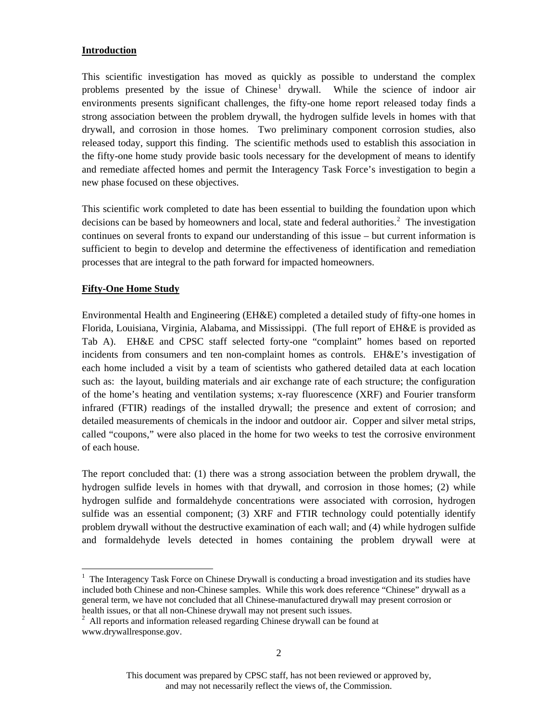## **Introduction**

This scientific investigation has moved as quickly as possible to understand the complex problems presented by the issue of Chinese<sup>[1](#page-1-0)</sup> drywall. While the science of indoor air environments presents significant challenges, the fifty-one home report released today finds a strong association between the problem drywall, the hydrogen sulfide levels in homes with that drywall, and corrosion in those homes. Two preliminary component corrosion studies, also released today, support this finding. The scientific methods used to establish this association in the fifty-one home study provide basic tools necessary for the development of means to identify and remediate affected homes and permit the Interagency Task Force's investigation to begin a new phase focused on these objectives.

This scientific work completed to date has been essential to building the foundation upon which decisions can be based by homeowners and local, state and federal authorities.<sup>[2](#page-1-1)</sup> The investigation continues on several fronts to expand our understanding of this issue – but current information is sufficient to begin to develop and determine the effectiveness of identification and remediation processes that are integral to the path forward for impacted homeowners.

## **Fifty-One Home Study**

 $\overline{a}$ 

Environmental Health and Engineering (EH&E) completed a detailed study of fifty-one homes in Florida, Louisiana, Virginia, Alabama, and Mississippi. (The full report of EH&E is provided as Tab A). EH&E and CPSC staff selected forty-one "complaint" homes based on reported incidents from consumers and ten non-complaint homes as controls. EH&E's investigation of each home included a visit by a team of scientists who gathered detailed data at each location such as: the layout, building materials and air exchange rate of each structure; the configuration of the home's heating and ventilation systems; x-ray fluorescence (XRF) and Fourier transform infrared (FTIR) readings of the installed drywall; the presence and extent of corrosion; and detailed measurements of chemicals in the indoor and outdoor air. Copper and silver metal strips, called "coupons," were also placed in the home for two weeks to test the corrosive environment of each house.

The report concluded that: (1) there was a strong association between the problem drywall, the hydrogen sulfide levels in homes with that drywall, and corrosion in those homes; (2) while hydrogen sulfide and formaldehyde concentrations were associated with corrosion, hydrogen sulfide was an essential component; (3) XRF and FTIR technology could potentially identify problem drywall without the destructive examination of each wall; and (4) while hydrogen sulfide and formaldehyde levels detected in homes containing the problem drywall were at

<span id="page-1-0"></span><sup>&</sup>lt;sup>1</sup> The Interagency Task Force on Chinese Drywall is conducting a broad investigation and its studies have included both Chinese and non-Chinese samples. While this work does reference "Chinese" drywall as a general term, we have not concluded that all Chinese-manufactured drywall may present corrosion or health issues, or that all non-Chinese drywall may not present such issues. 2

<span id="page-1-1"></span> $2$  All reports and information released regarding Chinese drywall can be found at www.drywallresponse.gov.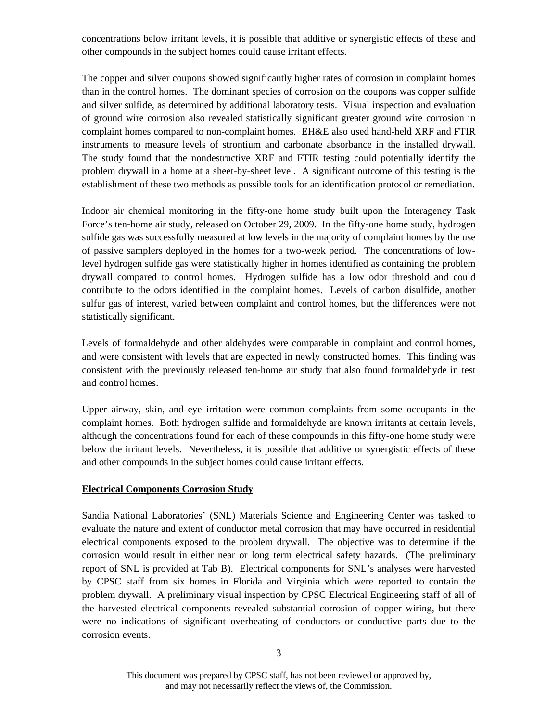concentrations below irritant levels, it is possible that additive or synergistic effects of these and other compounds in the subject homes could cause irritant effects.

The copper and silver coupons showed significantly higher rates of corrosion in complaint homes than in the control homes. The dominant species of corrosion on the coupons was copper sulfide and silver sulfide, as determined by additional laboratory tests. Visual inspection and evaluation of ground wire corrosion also revealed statistically significant greater ground wire corrosion in complaint homes compared to non-complaint homes. EH&E also used hand-held XRF and FTIR instruments to measure levels of strontium and carbonate absorbance in the installed drywall. The study found that the nondestructive XRF and FTIR testing could potentially identify the problem drywall in a home at a sheet-by-sheet level. A significant outcome of this testing is the establishment of these two methods as possible tools for an identification protocol or remediation.

Indoor air chemical monitoring in the fifty-one home study built upon the Interagency Task Force's ten-home air study, released on October 29, 2009. In the fifty-one home study, hydrogen sulfide gas was successfully measured at low levels in the majority of complaint homes by the use of passive samplers deployed in the homes for a two-week period. The concentrations of lowlevel hydrogen sulfide gas were statistically higher in homes identified as containing the problem drywall compared to control homes. Hydrogen sulfide has a low odor threshold and could contribute to the odors identified in the complaint homes. Levels of carbon disulfide, another sulfur gas of interest, varied between complaint and control homes, but the differences were not statistically significant.

Levels of formaldehyde and other aldehydes were comparable in complaint and control homes, and were consistent with levels that are expected in newly constructed homes. This finding was consistent with the previously released ten-home air study that also found formaldehyde in test and control homes.

Upper airway, skin, and eye irritation were common complaints from some occupants in the complaint homes. Both hydrogen sulfide and formaldehyde are known irritants at certain levels, although the concentrations found for each of these compounds in this fifty-one home study were below the irritant levels. Nevertheless, it is possible that additive or synergistic effects of these and other compounds in the subject homes could cause irritant effects.

## **Electrical Components Corrosion Study**

Sandia National Laboratories' (SNL) Materials Science and Engineering Center was tasked to evaluate the nature and extent of conductor metal corrosion that may have occurred in residential electrical components exposed to the problem drywall. The objective was to determine if the corrosion would result in either near or long term electrical safety hazards. (The preliminary report of SNL is provided at Tab B). Electrical components for SNL's analyses were harvested by CPSC staff from six homes in Florida and Virginia which were reported to contain the problem drywall. A preliminary visual inspection by CPSC Electrical Engineering staff of all of the harvested electrical components revealed substantial corrosion of copper wiring, but there were no indications of significant overheating of conductors or conductive parts due to the corrosion events.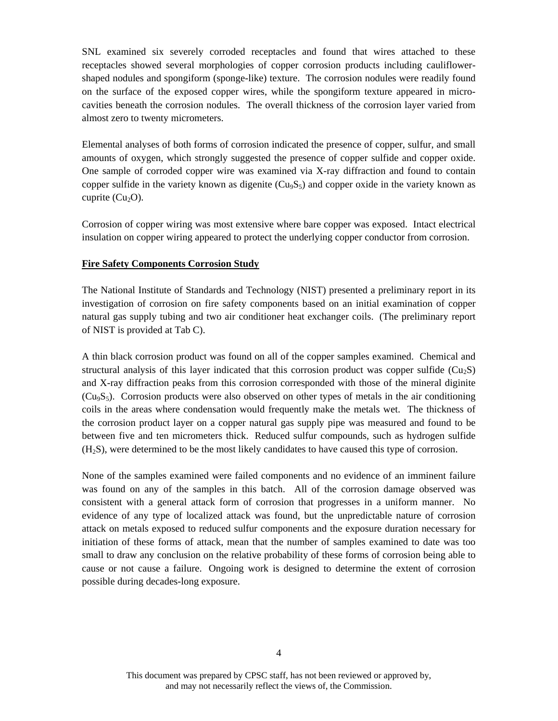SNL examined six severely corroded receptacles and found that wires attached to these receptacles showed several morphologies of copper corrosion products including cauliflowershaped nodules and spongiform (sponge-like) texture. The corrosion nodules were readily found on the surface of the exposed copper wires, while the spongiform texture appeared in microcavities beneath the corrosion nodules. The overall thickness of the corrosion layer varied from almost zero to twenty micrometers.

Elemental analyses of both forms of corrosion indicated the presence of copper, sulfur, and small amounts of oxygen, which strongly suggested the presence of copper sulfide and copper oxide. One sample of corroded copper wire was examined via X-ray diffraction and found to contain copper sulfide in the variety known as digenite  $(Cu<sub>9</sub>S<sub>5</sub>)$  and copper oxide in the variety known as cuprite  $(Cu_2O)$ .

Corrosion of copper wiring was most extensive where bare copper was exposed. Intact electrical insulation on copper wiring appeared to protect the underlying copper conductor from corrosion.

#### **Fire Safety Components Corrosion Study**

The National Institute of Standards and Technology (NIST) presented a preliminary report in its investigation of corrosion on fire safety components based on an initial examination of copper natural gas supply tubing and two air conditioner heat exchanger coils. (The preliminary report of NIST is provided at Tab C).

A thin black corrosion product was found on all of the copper samples examined. Chemical and structural analysis of this layer indicated that this corrosion product was copper sulfide  $(Cu_2S)$ and X-ray diffraction peaks from this corrosion corresponded with those of the mineral diginite  $(Cu<sub>9</sub>S<sub>5</sub>)$ . Corrosion products were also observed on other types of metals in the air conditioning coils in the areas where condensation would frequently make the metals wet. The thickness of the corrosion product layer on a copper natural gas supply pipe was measured and found to be between five and ten micrometers thick. Reduced sulfur compounds, such as hydrogen sulfide  $(H<sub>2</sub>S)$ , were determined to be the most likely candidates to have caused this type of corrosion.

None of the samples examined were failed components and no evidence of an imminent failure was found on any of the samples in this batch. All of the corrosion damage observed was consistent with a general attack form of corrosion that progresses in a uniform manner. No evidence of any type of localized attack was found, but the unpredictable nature of corrosion attack on metals exposed to reduced sulfur components and the exposure duration necessary for initiation of these forms of attack, mean that the number of samples examined to date was too small to draw any conclusion on the relative probability of these forms of corrosion being able to cause or not cause a failure. Ongoing work is designed to determine the extent of corrosion possible during decades-long exposure.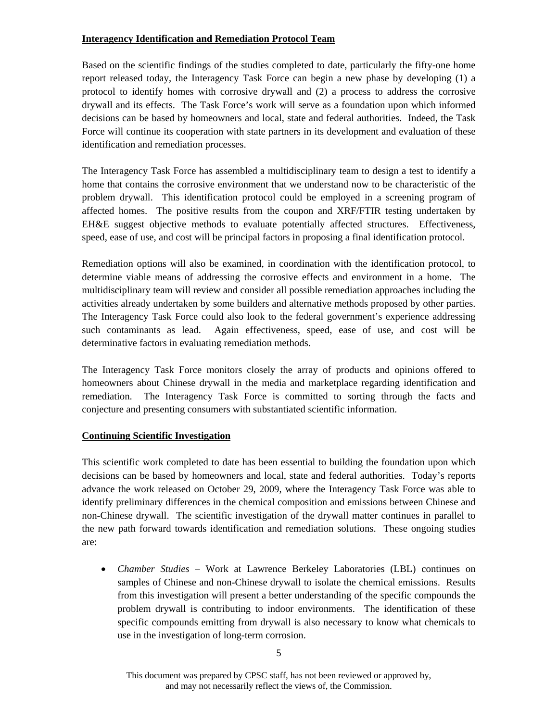# **Interagency Identification and Remediation Protocol Team**

Based on the scientific findings of the studies completed to date, particularly the fifty-one home report released today, the Interagency Task Force can begin a new phase by developing (1) a protocol to identify homes with corrosive drywall and (2) a process to address the corrosive drywall and its effects. The Task Force's work will serve as a foundation upon which informed decisions can be based by homeowners and local, state and federal authorities. Indeed, the Task Force will continue its cooperation with state partners in its development and evaluation of these identification and remediation processes.

The Interagency Task Force has assembled a multidisciplinary team to design a test to identify a home that contains the corrosive environment that we understand now to be characteristic of the problem drywall. This identification protocol could be employed in a screening program of affected homes. The positive results from the coupon and XRF/FTIR testing undertaken by EH&E suggest objective methods to evaluate potentially affected structures. Effectiveness, speed, ease of use, and cost will be principal factors in proposing a final identification protocol.

Remediation options will also be examined, in coordination with the identification protocol, to determine viable means of addressing the corrosive effects and environment in a home. The multidisciplinary team will review and consider all possible remediation approaches including the activities already undertaken by some builders and alternative methods proposed by other parties. The Interagency Task Force could also look to the federal government's experience addressing such contaminants as lead. Again effectiveness, speed, ease of use, and cost will be determinative factors in evaluating remediation methods.

The Interagency Task Force monitors closely the array of products and opinions offered to homeowners about Chinese drywall in the media and marketplace regarding identification and remediation. The Interagency Task Force is committed to sorting through the facts and conjecture and presenting consumers with substantiated scientific information.

# **Continuing Scientific Investigation**

This scientific work completed to date has been essential to building the foundation upon which decisions can be based by homeowners and local, state and federal authorities. Today's reports advance the work released on October 29, 2009, where the Interagency Task Force was able to identify preliminary differences in the chemical composition and emissions between Chinese and non-Chinese drywall. The scientific investigation of the drywall matter continues in parallel to the new path forward towards identification and remediation solutions. These ongoing studies are:

• *Chamber Studies* – Work at Lawrence Berkeley Laboratories (LBL) continues on samples of Chinese and non-Chinese drywall to isolate the chemical emissions. Results from this investigation will present a better understanding of the specific compounds the problem drywall is contributing to indoor environments. The identification of these specific compounds emitting from drywall is also necessary to know what chemicals to use in the investigation of long-term corrosion.